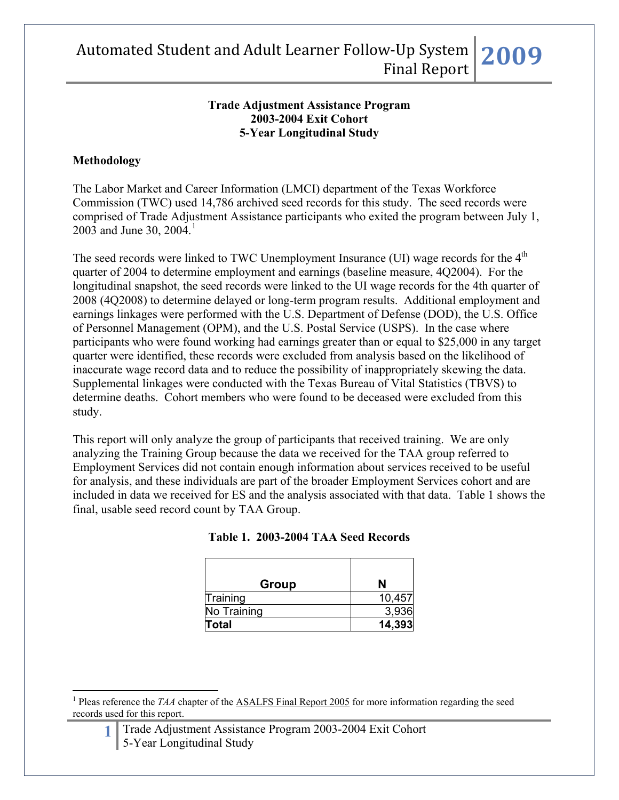#### **Trade Adjustment Assistance Program 2003-2004 Exit Cohort 5-Year Longitudinal Study**

### **Methodology**

 $\overline{a}$ 

The Labor Market and Career Information (LMCI) department of the Texas Workforce Commission (TWC) used 14,786 archived seed records for this study. The seed records were comprised of Trade Adjustment Assistance participants who exited the program between July 1, 2003 and June 30, 2004.<sup>[1](#page-0-0)</sup>

The seed records were linked to TWC Unemployment Insurance (UI) wage records for the 4<sup>th</sup> quarter of 2004 to determine employment and earnings (baseline measure, 4Q2004). For the longitudinal snapshot, the seed records were linked to the UI wage records for the 4th quarter of 2008 (4Q2008) to determine delayed or long-term program results. Additional employment and earnings linkages were performed with the U.S. Department of Defense (DOD), the U.S. Office of Personnel Management (OPM), and the U.S. Postal Service (USPS). In the case where participants who were found working had earnings greater than or equal to \$25,000 in any target quarter were identified, these records were excluded from analysis based on the likelihood of inaccurate wage record data and to reduce the possibility of inappropriately skewing the data. Supplemental linkages were conducted with the Texas Bureau of Vital Statistics (TBVS) to determine deaths. Cohort members who were found to be deceased were excluded from this study.

This report will only analyze the group of participants that received training. We are only analyzing the Training Group because the data we received for the TAA group referred to Employment Services did not contain enough information about services received to be useful for analysis, and these individuals are part of the broader Employment Services cohort and are included in data we received for ES and the analysis associated with that data. Table 1 shows the final, usable seed record count by TAA Group.

| Group        | N      |
|--------------|--------|
| Training     | 10,457 |
| No Training  | 3,936  |
| <b>Total</b> | 14,393 |

|  | Table 1. 2003-2004 TAA Seed Records |  |  |  |
|--|-------------------------------------|--|--|--|
|--|-------------------------------------|--|--|--|

<span id="page-0-0"></span><sup>&</sup>lt;sup>1</sup> Pleas reference the *TAA* chapter of the **ASALFS** Final Report 2005 for more information regarding the seed records used for this report.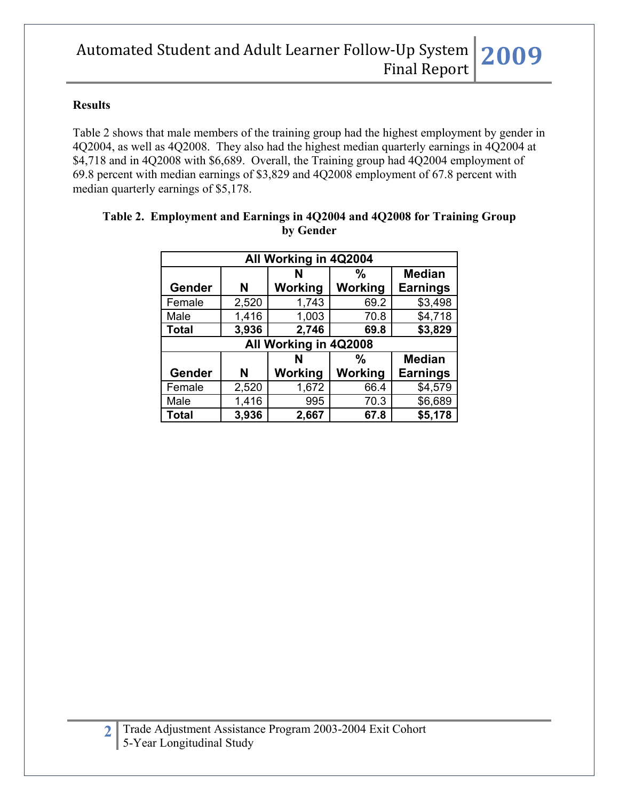#### **Results**

Table 2 shows that male members of the training group had the highest employment by gender in 4Q2004, as well as 4Q2008. They also had the highest median quarterly earnings in 4Q2004 at \$4,718 and in 4Q2008 with \$6,689. Overall, the Training group had 4Q2004 employment of 69.8 percent with median earnings of \$3,829 and 4Q2008 employment of 67.8 percent with median quarterly earnings of \$5,178.

| All Working in 4Q2004   |                       |         |         |                 |  |  |  |
|-------------------------|-----------------------|---------|---------|-----------------|--|--|--|
|                         |                       | N       | %       | <b>Median</b>   |  |  |  |
| Gender                  | N                     | Working | Working | <b>Earnings</b> |  |  |  |
| Female                  | 2,520                 | 1,743   | 69.2    | \$3,498         |  |  |  |
| Male                    | 1,416                 | 1,003   | 70.8    | \$4,718         |  |  |  |
| <b>Total</b>            | 3,936                 | 2,746   | 69.8    | \$3,829         |  |  |  |
|                         | All Working in 4Q2008 |         |         |                 |  |  |  |
| %<br><b>Median</b><br>N |                       |         |         |                 |  |  |  |
| Gender                  | N                     | Working | Working | <b>Earnings</b> |  |  |  |
| Female                  | 2,520                 | 1,672   | 66.4    | \$4,579         |  |  |  |
| Male                    | 1,416                 | 995     | 70.3    | \$6,689         |  |  |  |
| <b>Total</b>            | 3,936                 | 2,667   | 67.8    | \$5,178         |  |  |  |

#### **Table 2. Employment and Earnings in 4Q2004 and 4Q2008 for Training Group by Gender**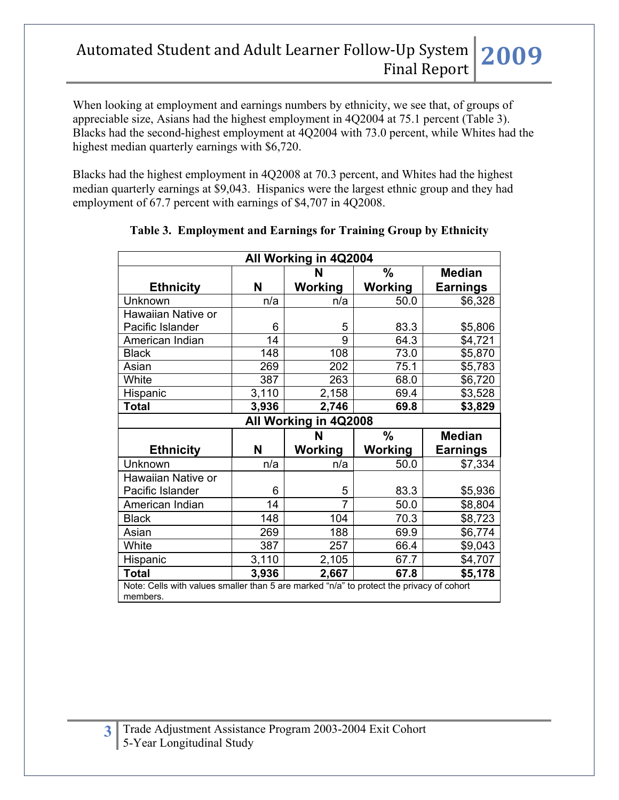When looking at employment and earnings numbers by ethnicity, we see that, of groups of appreciable size, Asians had the highest employment in 4Q2004 at 75.1 percent (Table 3). Blacks had the second-highest employment at 4Q2004 with 73.0 percent, while Whites had the highest median quarterly earnings with \$6,720.

Blacks had the highest employment in 4Q2008 at 70.3 percent, and Whites had the highest median quarterly earnings at \$9,043. Hispanics were the largest ethnic group and they had employment of 67.7 percent with earnings of \$4,707 in 4Q2008.

| All Working in 4Q2004                                                                                    |       |                |               |                 |  |  |
|----------------------------------------------------------------------------------------------------------|-------|----------------|---------------|-----------------|--|--|
|                                                                                                          |       | N              | $\frac{0}{0}$ | <b>Median</b>   |  |  |
| <b>Ethnicity</b>                                                                                         | N     | Working        | Working       | <b>Earnings</b> |  |  |
| Unknown                                                                                                  | n/a   | n/a            | 50.0          | \$6,328         |  |  |
| Hawaiian Native or                                                                                       |       |                |               |                 |  |  |
| Pacific Islander                                                                                         | 6     | 5              | 83.3          | \$5,806         |  |  |
| American Indian                                                                                          | 14    | 9              | 64.3          | \$4,721         |  |  |
| <b>Black</b>                                                                                             | 148   | 108            | 73.0          | \$5,870         |  |  |
| Asian                                                                                                    | 269   | 202            | 75.1          | \$5,783         |  |  |
| White                                                                                                    | 387   | 263            | 68.0          | \$6,720         |  |  |
| Hispanic                                                                                                 | 3,110 | 2,158          | 69.4          | \$3,528         |  |  |
| <b>Total</b>                                                                                             | 3,936 | 2,746          | 69.8          | \$3,829         |  |  |
| All Working in 4Q2008                                                                                    |       |                |               |                 |  |  |
|                                                                                                          |       |                |               |                 |  |  |
|                                                                                                          |       | N              | $\frac{0}{0}$ | <b>Median</b>   |  |  |
| <b>Ethnicity</b>                                                                                         | N     | Working        | Working       | <b>Earnings</b> |  |  |
| Unknown                                                                                                  | n/a   | n/a            | 50.0          | \$7,334         |  |  |
| Hawaiian Native or                                                                                       |       |                |               |                 |  |  |
| Pacific Islander                                                                                         | 6     | 5              | 83.3          | \$5,936         |  |  |
| American Indian                                                                                          | 14    | $\overline{7}$ | 50.0          | \$8,804         |  |  |
| <b>Black</b>                                                                                             | 148   | 104            | 70.3          | \$8,723         |  |  |
| Asian                                                                                                    | 269   | 188            | 69.9          | \$6,774         |  |  |
| White                                                                                                    | 387   | 257            | 66.4          | \$9,043         |  |  |
| Hispanic                                                                                                 | 3,110 | 2,105          | 67.7          | \$4,707         |  |  |
| <b>Total</b><br>Note: Cells with values smaller than 5 are marked "n/a" to protect the privacy of cohort | 3,936 | 2,667          | 67.8          | \$5,178         |  |  |

## **Table 3. Employment and Earnings for Training Group by Ethnicity**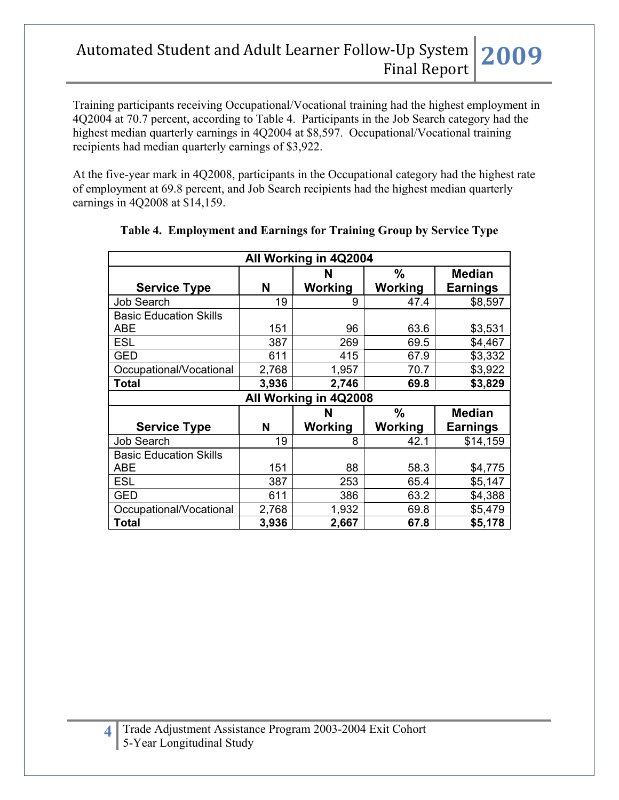Training participants receiving Occupational/Vocational training had the highest employment in 4Q2004 at 70.7 percent, according to Table 4. Participants in the Job Search category had the highest median quarterly earnings in 4Q2004 at \$8,597. Occupational/Vocational training recipients had median quarterly earnings of \$3,922.

At the five-year mark in 4Q2008, participants in the Occupational category had the highest rate of employment at 69.8 percent, and Job Search recipients had the highest median quarterly earnings in 4Q2008 at \$14,159.

| All Working in 4Q2004         |       |         |         |                 |  |  |  |
|-------------------------------|-------|---------|---------|-----------------|--|--|--|
|                               |       | N       | %       | <b>Median</b>   |  |  |  |
| <b>Service Type</b>           | N     | Working | Working | Earnings        |  |  |  |
| <b>Job Search</b>             | 19    | 9       | 47.4    | \$8,597         |  |  |  |
| <b>Basic Education Skills</b> |       |         |         |                 |  |  |  |
| ABE                           | 151   | 96      | 63.6    | \$3,531         |  |  |  |
| <b>ESL</b>                    | 387   | 269     | 69.5    | \$4,467         |  |  |  |
| <b>GED</b>                    | 611   | 415     | 67.9    | \$3,332         |  |  |  |
| Occupational/Vocational       | 2,768 | 1,957   | 70.7    | \$3,922         |  |  |  |
| <b>Total</b>                  | 3,936 | 2,746   | 69.8    | \$3,829         |  |  |  |
| All Working in 4Q2008         |       |         |         |                 |  |  |  |
|                               |       |         |         |                 |  |  |  |
|                               |       | N       | %       | <b>Median</b>   |  |  |  |
| <b>Service Type</b>           | N     | Working | Working | <b>Earnings</b> |  |  |  |
| <b>Job Search</b>             | 19    | 8       | 42.1    | \$14,159        |  |  |  |
| <b>Basic Education Skills</b> |       |         |         |                 |  |  |  |
| ABE                           | 151   | 88      | 58.3    | \$4,775         |  |  |  |
| <b>ESL</b>                    | 387   | 253     | 65.4    | \$5,147         |  |  |  |
| <b>GED</b>                    | 611   | 386     | 63.2    | \$4,388         |  |  |  |
| Occupational/Vocational       | 2,768 | 1,932   | 69.8    | \$5,479         |  |  |  |

## **Table 4. Employment and Earnings for Training Group by Service Type**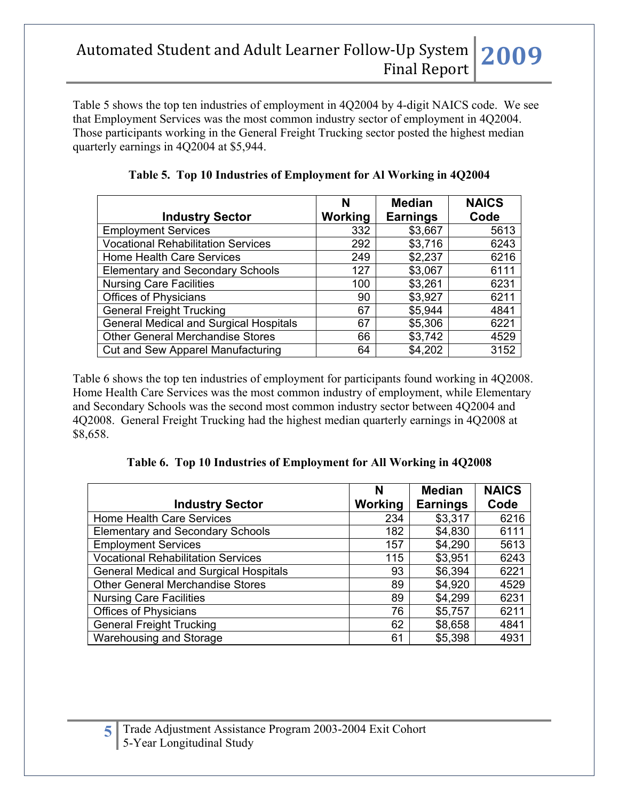Table 5 shows the top ten industries of employment in 4Q2004 by 4-digit NAICS code. We see that Employment Services was the most common industry sector of employment in 4Q2004. Those participants working in the General Freight Trucking sector posted the highest median quarterly earnings in 4Q2004 at \$5,944.

|                                               | N       | <b>Median</b>   | <b>NAICS</b> |
|-----------------------------------------------|---------|-----------------|--------------|
| <b>Industry Sector</b>                        | Working | <b>Earnings</b> | Code         |
| <b>Employment Services</b>                    | 332     | \$3,667         | 5613         |
| <b>Vocational Rehabilitation Services</b>     | 292     | \$3,716         | 6243         |
| <b>Home Health Care Services</b>              | 249     | \$2,237         | 6216         |
| <b>Elementary and Secondary Schools</b>       | 127     | \$3,067         | 6111         |
| <b>Nursing Care Facilities</b>                | 100     | \$3,261         | 6231         |
| <b>Offices of Physicians</b>                  | 90      | \$3,927         | 6211         |
| <b>General Freight Trucking</b>               | 67      | \$5,944         | 4841         |
| <b>General Medical and Surgical Hospitals</b> | 67      | \$5,306         | 6221         |
| <b>Other General Merchandise Stores</b>       | 66      | \$3,742         | 4529         |
| <b>Cut and Sew Apparel Manufacturing</b>      | 64      | \$4,202         | 3152         |

**Table 5. Top 10 Industries of Employment for Al Working in 4Q2004**

Table 6 shows the top ten industries of employment for participants found working in 4Q2008. Home Health Care Services was the most common industry of employment, while Elementary and Secondary Schools was the second most common industry sector between 4Q2004 and 4Q2008. General Freight Trucking had the highest median quarterly earnings in 4Q2008 at \$8,658.

**Table 6. Top 10 Industries of Employment for All Working in 4Q2008**

|                                               | N              | <b>Median</b>   | <b>NAICS</b> |
|-----------------------------------------------|----------------|-----------------|--------------|
| <b>Industry Sector</b>                        | <b>Working</b> | <b>Earnings</b> | Code         |
| <b>Home Health Care Services</b>              | 234            | \$3,317         | 6216         |
| <b>Elementary and Secondary Schools</b>       | 182            | \$4,830         | 6111         |
| <b>Employment Services</b>                    | 157            | \$4,290         | 5613         |
| <b>Vocational Rehabilitation Services</b>     | 115            | \$3,951         | 6243         |
| <b>General Medical and Surgical Hospitals</b> | 93             | \$6,394         | 6221         |
| <b>Other General Merchandise Stores</b>       | 89             | \$4,920         | 4529         |
| <b>Nursing Care Facilities</b>                | 89             | \$4,299         | 6231         |
| <b>Offices of Physicians</b>                  | 76             | \$5,757         | 6211         |
| <b>General Freight Trucking</b>               | 62             | \$8,658         | 4841         |
| Warehousing and Storage                       | 61             | \$5,398         | 4931         |